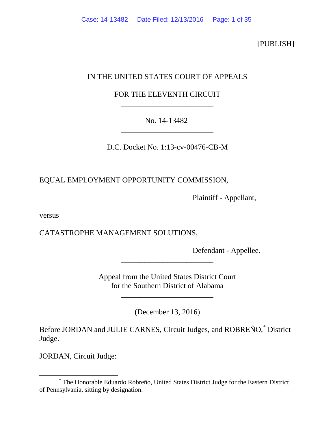[PUBLISH]

# IN THE UNITED STATES COURT OF APPEALS

# FOR THE ELEVENTH CIRCUIT \_\_\_\_\_\_\_\_\_\_\_\_\_\_\_\_\_\_\_\_\_\_\_\_

# No. 14-13482 \_\_\_\_\_\_\_\_\_\_\_\_\_\_\_\_\_\_\_\_\_\_\_\_

D.C. Docket No. 1:13-cv-00476-CB-M

EQUAL EMPLOYMENT OPPORTUNITY COMMISSION,

Plaintiff - Appellant,

versus

CATASTROPHE MANAGEMENT SOLUTIONS,

Defendant - Appellee.

Appeal from the United States District Court for the Southern District of Alabama

\_\_\_\_\_\_\_\_\_\_\_\_\_\_\_\_\_\_\_\_\_\_\_\_

\_\_\_\_\_\_\_\_\_\_\_\_\_\_\_\_\_\_\_\_\_\_\_\_

(December 13, 2016)

Before JORDAN and JULIE CARNES, Circuit Judges, and ROBREÑO,[\\*](#page-0-0) District Judge.

JORDAN, Circuit Judge:

<span id="page-0-0"></span> <sup>\*</sup> The Honorable Eduardo Robreño, United States District Judge for the Eastern District of Pennsylvania, sitting by designation.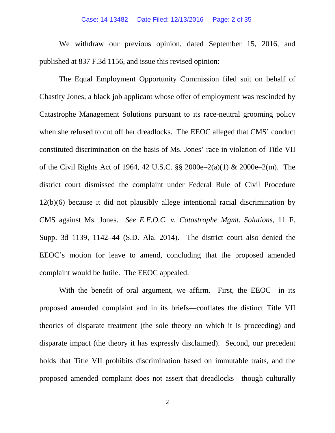### Case: 14-13482 Date Filed: 12/13/2016 Page: 2 of 35

We withdraw our previous opinion, dated September 15, 2016, and published at 837 F.3d 1156, and issue this revised opinion:

The Equal Employment Opportunity Commission filed suit on behalf of Chastity Jones, a black job applicant whose offer of employment was rescinded by Catastrophe Management Solutions pursuant to its race-neutral grooming policy when she refused to cut off her dreadlocks. The EEOC alleged that CMS' conduct constituted discrimination on the basis of Ms. Jones' race in violation of Title VII of the Civil Rights Act of 1964, 42 U.S.C. §§ 2000e–2(a)(1) & 2000e–2(m). The district court dismissed the complaint under Federal Rule of Civil Procedure 12(b)(6) because it did not plausibly allege intentional racial discrimination by CMS against Ms. Jones. *See E.E.O.C. v. Catastrophe Mgmt. Solutions*, 11 F. Supp. 3d 1139, 1142–44 (S.D. Ala. 2014). The district court also denied the EEOC's motion for leave to amend, concluding that the proposed amended complaint would be futile. The EEOC appealed.

With the benefit of oral argument, we affirm. First, the EEOC—in its proposed amended complaint and in its briefs—conflates the distinct Title VII theories of disparate treatment (the sole theory on which it is proceeding) and disparate impact (the theory it has expressly disclaimed). Second, our precedent holds that Title VII prohibits discrimination based on immutable traits, and the proposed amended complaint does not assert that dreadlocks—though culturally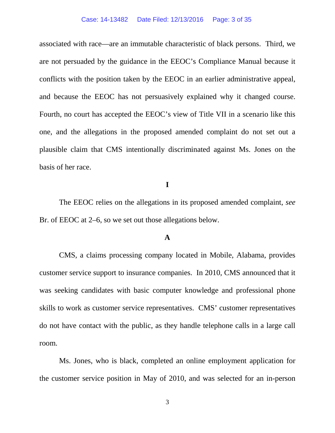#### Case: 14-13482 Date Filed: 12/13/2016 Page: 3 of 35

associated with race—are an immutable characteristic of black persons. Third, we are not persuaded by the guidance in the EEOC's Compliance Manual because it conflicts with the position taken by the EEOC in an earlier administrative appeal, and because the EEOC has not persuasively explained why it changed course. Fourth, no court has accepted the EEOC's view of Title VII in a scenario like this one, and the allegations in the proposed amended complaint do not set out a plausible claim that CMS intentionally discriminated against Ms. Jones on the basis of her race.

# **I**

The EEOC relies on the allegations in its proposed amended complaint, *see*  Br. of EEOC at 2–6, so we set out those allegations below.

### **A**

CMS, a claims processing company located in Mobile, Alabama, provides customer service support to insurance companies. In 2010, CMS announced that it was seeking candidates with basic computer knowledge and professional phone skills to work as customer service representatives. CMS' customer representatives do not have contact with the public, as they handle telephone calls in a large call room.

Ms. Jones, who is black, completed an online employment application for the customer service position in May of 2010, and was selected for an in-person

3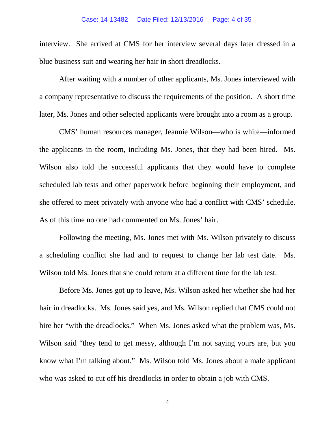interview. She arrived at CMS for her interview several days later dressed in a blue business suit and wearing her hair in short dreadlocks.

After waiting with a number of other applicants, Ms. Jones interviewed with a company representative to discuss the requirements of the position. A short time later, Ms. Jones and other selected applicants were brought into a room as a group.

CMS' human resources manager, Jeannie Wilson—who is white—informed the applicants in the room, including Ms. Jones, that they had been hired. Ms. Wilson also told the successful applicants that they would have to complete scheduled lab tests and other paperwork before beginning their employment, and she offered to meet privately with anyone who had a conflict with CMS' schedule. As of this time no one had commented on Ms. Jones' hair.

Following the meeting, Ms. Jones met with Ms. Wilson privately to discuss a scheduling conflict she had and to request to change her lab test date. Ms. Wilson told Ms. Jones that she could return at a different time for the lab test.

Before Ms. Jones got up to leave, Ms. Wilson asked her whether she had her hair in dreadlocks. Ms. Jones said yes, and Ms. Wilson replied that CMS could not hire her "with the dreadlocks." When Ms. Jones asked what the problem was, Ms. Wilson said "they tend to get messy, although I'm not saying yours are, but you know what I'm talking about." Ms. Wilson told Ms. Jones about a male applicant who was asked to cut off his dreadlocks in order to obtain a job with CMS.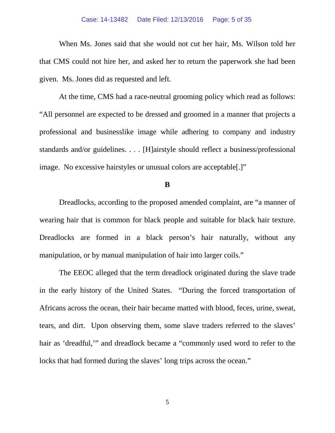#### Case: 14-13482 Date Filed: 12/13/2016 Page: 5 of 35

When Ms. Jones said that she would not cut her hair, Ms. Wilson told her that CMS could not hire her, and asked her to return the paperwork she had been given. Ms. Jones did as requested and left.

At the time, CMS had a race-neutral grooming policy which read as follows: "All personnel are expected to be dressed and groomed in a manner that projects a professional and businesslike image while adhering to company and industry standards and/or guidelines. . . . [H]airstyle should reflect a business/professional image. No excessive hairstyles or unusual colors are acceptable[.]"

**B**

Dreadlocks, according to the proposed amended complaint, are "a manner of wearing hair that is common for black people and suitable for black hair texture. Dreadlocks are formed in a black person's hair naturally, without any manipulation, or by manual manipulation of hair into larger coils."

The EEOC alleged that the term dreadlock originated during the slave trade in the early history of the United States. "During the forced transportation of Africans across the ocean, their hair became matted with blood, feces, urine, sweat, tears, and dirt. Upon observing them, some slave traders referred to the slaves' hair as 'dreadful,'" and dreadlock became a "commonly used word to refer to the locks that had formed during the slaves' long trips across the ocean."

5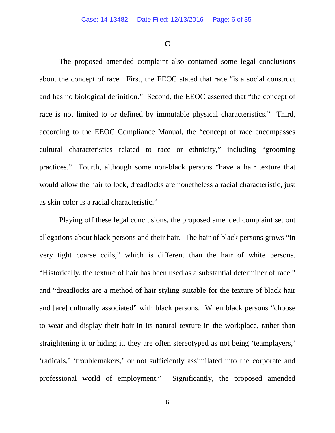**C**

The proposed amended complaint also contained some legal conclusions about the concept of race. First, the EEOC stated that race "is a social construct and has no biological definition." Second, the EEOC asserted that "the concept of race is not limited to or defined by immutable physical characteristics." Third, according to the EEOC Compliance Manual, the "concept of race encompasses cultural characteristics related to race or ethnicity," including "grooming practices." Fourth, although some non-black persons "have a hair texture that would allow the hair to lock, dreadlocks are nonetheless a racial characteristic, just as skin color is a racial characteristic."

Playing off these legal conclusions, the proposed amended complaint set out allegations about black persons and their hair. The hair of black persons grows "in very tight coarse coils," which is different than the hair of white persons. "Historically, the texture of hair has been used as a substantial determiner of race," and "dreadlocks are a method of hair styling suitable for the texture of black hair and [are] culturally associated" with black persons. When black persons "choose to wear and display their hair in its natural texture in the workplace, rather than straightening it or hiding it, they are often stereotyped as not being 'teamplayers,' 'radicals,' 'troublemakers,' or not sufficiently assimilated into the corporate and professional world of employment." Significantly, the proposed amended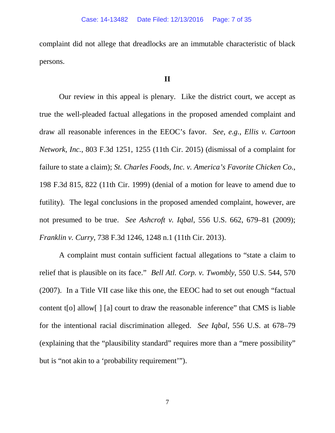complaint did not allege that dreadlocks are an immutable characteristic of black persons.

# **II**

Our review in this appeal is plenary. Like the district court, we accept as true the well-pleaded factual allegations in the proposed amended complaint and draw all reasonable inferences in the EEOC's favor. *See, e.g.*, *Ellis v. Cartoon Network, Inc.*, 803 F.3d 1251, 1255 (11th Cir. 2015) (dismissal of a complaint for failure to state a claim); *St. Charles Foods, Inc. v. America's Favorite Chicken Co.*, 198 F.3d 815, 822 (11th Cir. 1999) (denial of a motion for leave to amend due to futility). The legal conclusions in the proposed amended complaint, however, are not presumed to be true. *See Ashcroft v. Iqbal*, 556 U.S. 662, 679–81 (2009); *Franklin v. Curry*, 738 F.3d 1246, 1248 n.1 (11th Cir. 2013).

A complaint must contain sufficient factual allegations to "state a claim to relief that is plausible on its face." *Bell Atl. Corp. v. Twombly*, 550 U.S. 544, 570 (2007). In a Title VII case like this one, the EEOC had to set out enough "factual content t[o] allow[ ] [a] court to draw the reasonable inference" that CMS is liable for the intentional racial discrimination alleged. *See Iqbal*, 556 U.S. at 678–79 (explaining that the "plausibility standard" requires more than a "mere possibility" but is "not akin to a 'probability requirement'").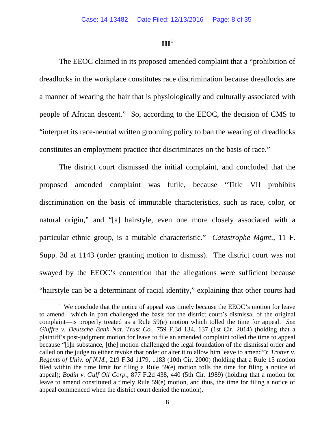# $III<sup>1</sup>$  $III<sup>1</sup>$  $III<sup>1</sup>$

The EEOC claimed in its proposed amended complaint that a "prohibition of dreadlocks in the workplace constitutes race discrimination because dreadlocks are a manner of wearing the hair that is physiologically and culturally associated with people of African descent." So, according to the EEOC, the decision of CMS to "interpret its race-neutral written grooming policy to ban the wearing of dreadlocks constitutes an employment practice that discriminates on the basis of race."

The district court dismissed the initial complaint, and concluded that the proposed amended complaint was futile, because "Title VII prohibits discrimination on the basis of immutable characteristics, such as race, color, or natural origin," and "[a] hairstyle, even one more closely associated with a particular ethnic group, is a mutable characteristic." *Catastrophe Mgmt.*, 11 F. Supp. 3d at 1143 (order granting motion to dismiss). The district court was not swayed by the EEOC's contention that the allegations were sufficient because "hairstyle can be a determinant of racial identity," explaining that other courts had

<span id="page-7-0"></span> $\overline{\phantom{a}}$ <sup>1</sup> We conclude that the notice of appeal was timely because the EEOC's motion for leave to amend—which in part challenged the basis for the district court's dismissal of the original complaint—is properly treated as a Rule 59(e) motion which tolled the time for appeal. *See Giuffre v. Deutsche Bank Nat. Trust Co.*, 759 F.3d 134, 137 (1st Cir. 2014) (holding that a plaintiff's post-judgment motion for leave to file an amended complaint tolled the time to appeal because "[i]n substance, [the] motion challenged the legal foundation of the dismissal order and called on the judge to either revoke that order or alter it to allow him leave to amend"); *Trotter v. Regents of Univ. of N.M.*, 219 F.3d 1179, 1183 (10th Cir. 2000) (holding that a Rule 15 motion filed within the time limit for filing a Rule 59(e) motion tolls the time for filing a notice of appeal); *Bodin v. Gulf Oil Corp.*, 877 F.2d 438, 440 (5th Cir. 1989) (holding that a motion for leave to amend constituted a timely Rule 59(e) motion, and thus, the time for filing a notice of appeal commenced when the district court denied the motion).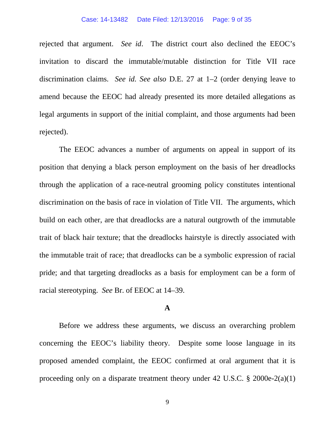#### Case: 14-13482 Date Filed: 12/13/2016 Page: 9 of 35

rejected that argument. *See id*. The district court also declined the EEOC's invitation to discard the immutable/mutable distinction for Title VII race discrimination claims. *See id. See also* D.E. 27 at 1–2 (order denying leave to amend because the EEOC had already presented its more detailed allegations as legal arguments in support of the initial complaint, and those arguments had been rejected).

The EEOC advances a number of arguments on appeal in support of its position that denying a black person employment on the basis of her dreadlocks through the application of a race-neutral grooming policy constitutes intentional discrimination on the basis of race in violation of Title VII. The arguments, which build on each other, are that dreadlocks are a natural outgrowth of the immutable trait of black hair texture; that the dreadlocks hairstyle is directly associated with the immutable trait of race; that dreadlocks can be a symbolic expression of racial pride; and that targeting dreadlocks as a basis for employment can be a form of racial stereotyping. *See* Br. of EEOC at 14–39.

# **A**

Before we address these arguments, we discuss an overarching problem concerning the EEOC's liability theory. Despite some loose language in its proposed amended complaint, the EEOC confirmed at oral argument that it is proceeding only on a disparate treatment theory under 42 U.S.C. § 2000e-2(a)(1)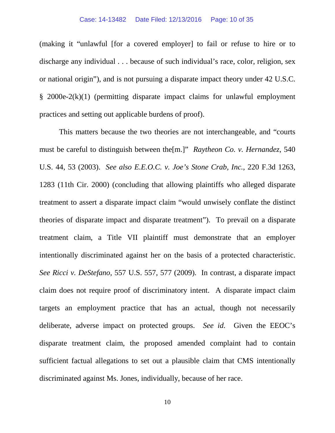(making it "unlawful [for a covered employer] to fail or refuse to hire or to discharge any individual . . . because of such individual's race, color, religion, sex or national origin"), and is not pursuing a disparate impact theory under 42 U.S.C. § 2000e-2(k)(1) (permitting disparate impact claims for unlawful employment practices and setting out applicable burdens of proof).

This matters because the two theories are not interchangeable, and "courts must be careful to distinguish between the[m.]" *Raytheon Co. v. Hernandez*, 540 U.S. 44, 53 (2003). *See also E.E.O.C. v. Joe's Stone Crab, Inc.*, 220 F.3d 1263, 1283 (11th Cir. 2000) (concluding that allowing plaintiffs who alleged disparate treatment to assert a disparate impact claim "would unwisely conflate the distinct theories of disparate impact and disparate treatment"). To prevail on a disparate treatment claim, a Title VII plaintiff must demonstrate that an employer intentionally discriminated against her on the basis of a protected characteristic. *See Ricci v. DeStefano*, 557 U.S. 557, 577 (2009). In contrast, a disparate impact claim does not require proof of discriminatory intent. A disparate impact claim targets an employment practice that has an actual, though not necessarily deliberate, adverse impact on protected groups. *See id.* Given the EEOC's disparate treatment claim, the proposed amended complaint had to contain sufficient factual allegations to set out a plausible claim that CMS intentionally discriminated against Ms. Jones, individually, because of her race.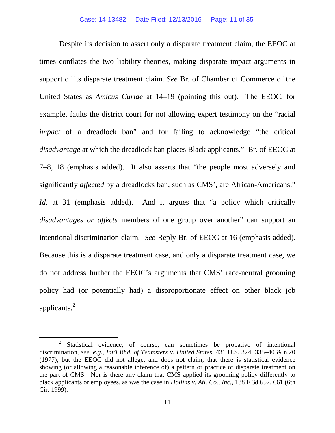Despite its decision to assert only a disparate treatment claim, the EEOC at times conflates the two liability theories, making disparate impact arguments in support of its disparate treatment claim. *See* Br. of Chamber of Commerce of the United States as *Amicus Curiae* at 14–19 (pointing this out). The EEOC, for example, faults the district court for not allowing expert testimony on the "racial *impact* of a dreadlock ban" and for failing to acknowledge "the critical *disadvantage* at which the dreadlock ban places Black applicants." Br. of EEOC at 7–8, 18 (emphasis added). It also asserts that "the people most adversely and significantly *affected* by a dreadlocks ban, such as CMS', are African-Americans." *Id.* at 31 (emphasis added). And it argues that "a policy which critically *disadvantages or affects* members of one group over another" can support an intentional discrimination claim. *See* Reply Br. of EEOC at 16 (emphasis added). Because this is a disparate treatment case, and only a disparate treatment case, we do not address further the EEOC's arguments that CMS' race-neutral grooming policy had (or potentially had) a disproportionate effect on other black job applicants. [2](#page-10-0)

<span id="page-10-0"></span><sup>&</sup>lt;sup>2</sup> Statistical evidence, of course, can sometimes be probative of intentional discrimination, *see, e.g.*, *Int'l Bhd. of Teamsters v. United States*, 431 U.S. 324, 335–40 & n.20 (1977), but the EEOC did not allege, and does not claim, that there is statistical evidence showing (or allowing a reasonable inference of) a pattern or practice of disparate treatment on the part of CMS. Nor is there any claim that CMS applied its grooming policy differently to black applicants or employees, as was the case in *Hollins v. Atl. Co., Inc.*, 188 F.3d 652, 661 (6th Cir. 1999).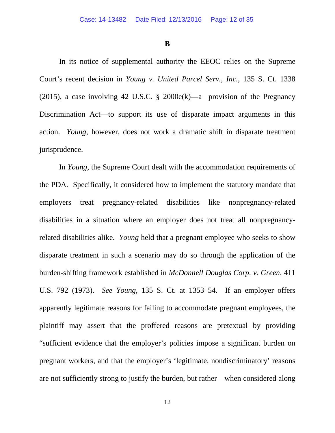**B**

In its notice of supplemental authority the EEOC relies on the Supreme Court's recent decision in *Young v. United Parcel Serv., Inc.*, 135 S. Ct. 1338 (2015), a case involving 42 U.S.C.  $\S$  2000e(k)—a provision of the Pregnancy Discrimination Act—to support its use of disparate impact arguments in this action. *Young*, however, does not work a dramatic shift in disparate treatment jurisprudence.

In *Young*, the Supreme Court dealt with the accommodation requirements of the PDA. Specifically, it considered how to implement the statutory mandate that employers treat pregnancy-related disabilities like nonpregnancy-related disabilities in a situation where an employer does not treat all nonpregnancyrelated disabilities alike. *Young* held that a pregnant employee who seeks to show disparate treatment in such a scenario may do so through the application of the burden-shifting framework established in *McDonnell Douglas Corp. v. Green*, 411 U.S. 792 (1973). *See Young*, 135 S. Ct. at 1353–54. If an employer offers apparently legitimate reasons for failing to accommodate pregnant employees, the plaintiff may assert that the proffered reasons are pretextual by providing "sufficient evidence that the employer's policies impose a significant burden on pregnant workers, and that the employer's 'legitimate, nondiscriminatory' reasons are not sufficiently strong to justify the burden, but rather—when considered along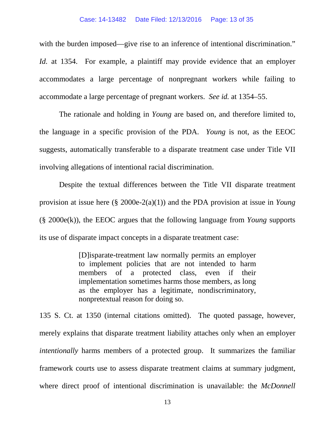#### Case: 14-13482 Date Filed: 12/13/2016 Page: 13 of 35

with the burden imposed—give rise to an inference of intentional discrimination." *Id.* at 1354. For example, a plaintiff may provide evidence that an employer accommodates a large percentage of nonpregnant workers while failing to accommodate a large percentage of pregnant workers. *See id.* at 1354–55.

The rationale and holding in *Young* are based on, and therefore limited to, the language in a specific provision of the PDA. *Young* is not, as the EEOC suggests, automatically transferable to a disparate treatment case under Title VII involving allegations of intentional racial discrimination.

Despite the textual differences between the Title VII disparate treatment provision at issue here (§ 2000e-2(a)(1)) and the PDA provision at issue in *Young*  (§ 2000e(k)), the EEOC argues that the following language from *Young* supports its use of disparate impact concepts in a disparate treatment case:

> [D]isparate-treatment law normally permits an employer to implement policies that are not intended to harm members of a protected class, even if their implementation sometimes harms those members, as long as the employer has a legitimate, nondiscriminatory, nonpretextual reason for doing so.

135 S. Ct. at 1350 (internal citations omitted). The quoted passage, however, merely explains that disparate treatment liability attaches only when an employer *intentionally* harms members of a protected group. It summarizes the familiar framework courts use to assess disparate treatment claims at summary judgment, where direct proof of intentional discrimination is unavailable: the *McDonnell*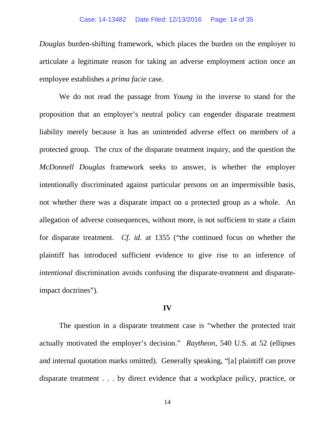*Douglas* burden-shifting framework, which places the burden on the employer to articulate a legitimate reason for taking an adverse employment action once an employee establishes a *prima facie* case.

We do not read the passage from *Young* in the inverse to stand for the proposition that an employer's neutral policy can engender disparate treatment liability merely because it has an unintended adverse effect on members of a protected group. The crux of the disparate treatment inquiry, and the question the *McDonnell Douglas* framework seeks to answer, is whether the employer intentionally discriminated against particular persons on an impermissible basis, not whether there was a disparate impact on a protected group as a whole. An allegation of adverse consequences, without more, is not sufficient to state a claim for disparate treatment. *Cf. id.* at 1355 ("the continued focus on whether the plaintiff has introduced sufficient evidence to give rise to an inference of *intentional* discrimination avoids confusing the disparate-treatment and disparateimpact doctrines").

# **IV**

The question in a disparate treatment case is "whether the protected trait actually motivated the employer's decision." *Raytheon*, 540 U.S. at 52 (ellipses and internal quotation marks omitted). Generally speaking, "[a] plaintiff can prove disparate treatment . . . by direct evidence that a workplace policy, practice, or

14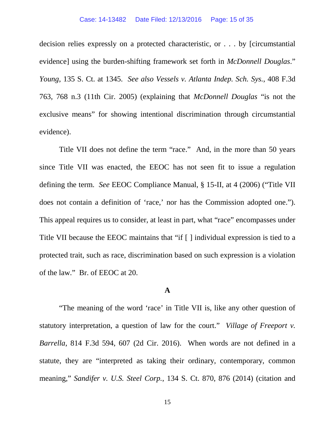decision relies expressly on a protected characteristic, or . . . by [circumstantial evidence] using the burden-shifting framework set forth in *McDonnell Douglas*." *Young*, 135 S. Ct. at 1345. *See also Vessels v. Atlanta Indep. Sch. Sys.*, 408 F.3d 763, 768 n.3 (11th Cir. 2005) (explaining that *McDonnell Douglas* "is not the exclusive means" for showing intentional discrimination through circumstantial evidence).

Title VII does not define the term "race." And, in the more than 50 years since Title VII was enacted, the EEOC has not seen fit to issue a regulation defining the term. *See* EEOC Compliance Manual, § 15-II, at 4 (2006) ("Title VII does not contain a definition of 'race,' nor has the Commission adopted one."). This appeal requires us to consider, at least in part, what "race" encompasses under Title VII because the EEOC maintains that "if [ ] individual expression is tied to a protected trait, such as race, discrimination based on such expression is a violation of the law." Br. of EEOC at 20.

## **A**

"The meaning of the word 'race' in Title VII is, like any other question of statutory interpretation, a question of law for the court." *Village of Freeport v. Barrella*, 814 F.3d 594, 607 (2d Cir. 2016). When words are not defined in a statute, they are "interpreted as taking their ordinary, contemporary, common meaning," *Sandifer v. U.S. Steel Corp.*, 134 S. Ct. 870, 876 (2014) (citation and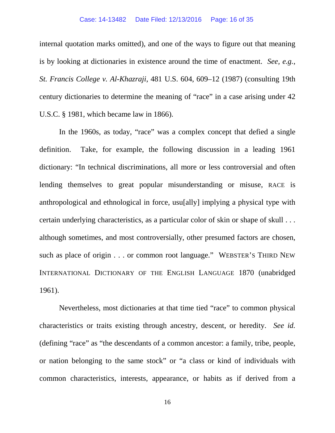### Case: 14-13482 Date Filed: 12/13/2016 Page: 16 of 35

internal quotation marks omitted), and one of the ways to figure out that meaning is by looking at dictionaries in existence around the time of enactment. *See, e.g.*, *St. Francis College v. Al-Khazraji*, 481 U.S. 604, 609–12 (1987) (consulting 19th century dictionaries to determine the meaning of "race" in a case arising under 42 U.S.C. § 1981, which became law in 1866).

In the 1960s, as today, "race" was a complex concept that defied a single definition. Take, for example, the following discussion in a leading 1961 dictionary: "In technical discriminations, all more or less controversial and often lending themselves to great popular misunderstanding or misuse, RACE is anthropological and ethnological in force, usu[ally] implying a physical type with certain underlying characteristics, as a particular color of skin or shape of skull . . . although sometimes, and most controversially, other presumed factors are chosen, such as place of origin . . . or common root language." WEBSTER'S THIRD NEW INTERNATIONAL DICTIONARY OF THE ENGLISH LANGUAGE 1870 (unabridged 1961).

Nevertheless, most dictionaries at that time tied "race" to common physical characteristics or traits existing through ancestry, descent, or heredity. *See id.*  (defining "race" as "the descendants of a common ancestor: a family, tribe, people, or nation belonging to the same stock" or "a class or kind of individuals with common characteristics, interests, appearance, or habits as if derived from a

16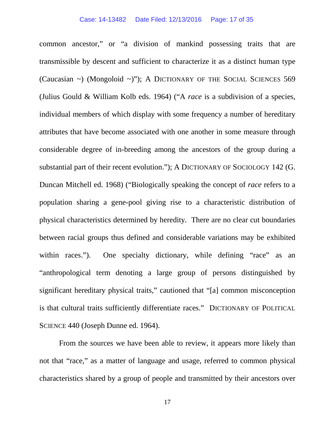common ancestor," or "a division of mankind possessing traits that are transmissible by descent and sufficient to characterize it as a distinct human type (Caucasian ~) (Mongoloid ~)"); A DICTIONARY OF THE SOCIAL SCIENCES 569 (Julius Gould & William Kolb eds. 1964) ("A *race* is a subdivision of a species, individual members of which display with some frequency a number of hereditary attributes that have become associated with one another in some measure through considerable degree of in-breeding among the ancestors of the group during a substantial part of their recent evolution."); A DICTIONARY OF SOCIOLOGY 142 (G. Duncan Mitchell ed. 1968) ("Biologically speaking the concept of *race* refers to a population sharing a gene-pool giving rise to a characteristic distribution of physical characteristics determined by heredity. There are no clear cut boundaries between racial groups thus defined and considerable variations may be exhibited within races."). One specialty dictionary, while defining "race" as an "anthropological term denoting a large group of persons distinguished by significant hereditary physical traits," cautioned that "[a] common misconception is that cultural traits sufficiently differentiate races." DICTIONARY OF POLITICAL SCIENCE 440 (Joseph Dunne ed. 1964).

From the sources we have been able to review, it appears more likely than not that "race," as a matter of language and usage, referred to common physical characteristics shared by a group of people and transmitted by their ancestors over

17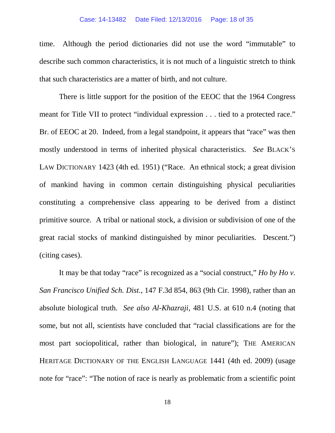#### Case: 14-13482 Date Filed: 12/13/2016 Page: 18 of 35

time. Although the period dictionaries did not use the word "immutable" to describe such common characteristics, it is not much of a linguistic stretch to think that such characteristics are a matter of birth, and not culture.

There is little support for the position of the EEOC that the 1964 Congress meant for Title VII to protect "individual expression . . . tied to a protected race." Br. of EEOC at 20. Indeed, from a legal standpoint, it appears that "race" was then mostly understood in terms of inherited physical characteristics. *See* BLACK'S LAW DICTIONARY 1423 (4th ed. 1951) ("Race. An ethnical stock; a great division of mankind having in common certain distinguishing physical peculiarities constituting a comprehensive class appearing to be derived from a distinct primitive source. A tribal or national stock, a division or subdivision of one of the great racial stocks of mankind distinguished by minor peculiarities. Descent.") (citing cases).

It may be that today "race" is recognized as a "social construct," *Ho by Ho v. San Francisco Unified Sch. Dist.*, 147 F.3d 854, 863 (9th Cir. 1998), rather than an absolute biological truth. *See also Al-Khazraji*, 481 U.S. at 610 n.4 (noting that some, but not all, scientists have concluded that "racial classifications are for the most part sociopolitical, rather than biological, in nature"); THE AMERICAN HERITAGE DICTIONARY OF THE ENGLISH LANGUAGE 1441 (4th ed. 2009) (usage note for "race": "The notion of race is nearly as problematic from a scientific point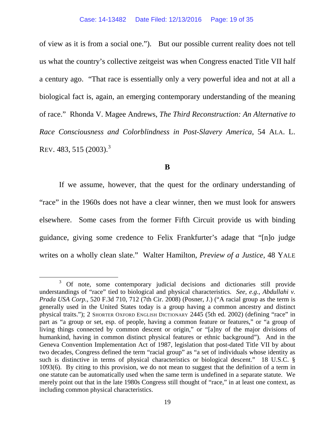of view as it is from a social one."). But our possible current reality does not tell us what the country's collective zeitgeist was when Congress enacted Title VII half a century ago. "That race is essentially only a very powerful idea and not at all a biological fact is, again, an emerging contemporary understanding of the meaning of race." Rhonda V. Magee Andrews, *The Third Reconstruction: An Alternative to Race Consciousness and Colorblindness in Post-Slavery America*, 54 ALA. L. REV. 48[3](#page-18-0), 515 (2003).<sup>3</sup>

## **B**

If we assume, however, that the quest for the ordinary understanding of "race" in the 1960s does not have a clear winner, then we must look for answers elsewhere. Some cases from the former Fifth Circuit provide us with binding guidance, giving some credence to Felix Frankfurter's adage that "[n]o judge writes on a wholly clean slate." Walter Hamilton, *Preview of a Justice*, 48 YALE

<span id="page-18-0"></span><sup>&</sup>lt;sup>3</sup> Of note, some contemporary judicial decisions and dictionaries still provide understandings of "race" tied to biological and physical characteristics. *See, e.g.*, *Abdullahi v. Prada USA Corp.*, 520 F.3d 710, 712 (7th Cir. 2008) (Posner, J.) ("A racial group as the term is generally used in the United States today is a group having a common ancestry and distinct physical traits."); 2 SHORTER OXFORD ENGLISH DICTIONARY 2445 (5th ed. 2002) (defining "race" in part as "a group or set, esp. of people, having a common feature or features," or "a group of living things connected by common descent or origin," or "[a]ny of the major divisions of humankind, having in common distinct physical features or ethnic background"). And in the Geneva Convention Implementation Act of 1987, legislation that post-dated Title VII by about two decades, Congress defined the term "racial group" as "a set of individuals whose identity as such is distinctive in terms of physical characteristics or biological descent." 18 U.S.C. § 1093(6). By citing to this provision, we do not mean to suggest that the definition of a term in one statute can be automatically used when the same term is undefined in a separate statute. We merely point out that in the late 1980s Congress still thought of "race," in at least one context, as including common physical characteristics.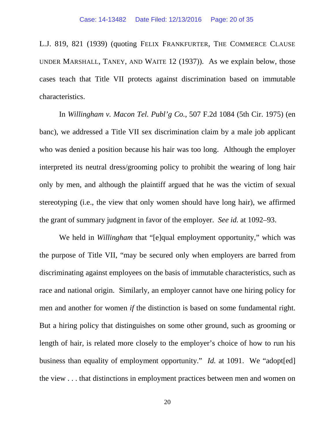L.J. 819, 821 (1939) (quoting FELIX FRANKFURTER, THE COMMERCE CLAUSE UNDER MARSHALL, TANEY, AND WAITE 12 (1937)). As we explain below, those cases teach that Title VII protects against discrimination based on immutable characteristics.

In *Willingham v. Macon Tel. Publ'g Co.*, 507 F.2d 1084 (5th Cir. 1975) (en banc), we addressed a Title VII sex discrimination claim by a male job applicant who was denied a position because his hair was too long. Although the employer interpreted its neutral dress/grooming policy to prohibit the wearing of long hair only by men, and although the plaintiff argued that he was the victim of sexual stereotyping (i.e., the view that only women should have long hair), we affirmed the grant of summary judgment in favor of the employer. *See id.* at 1092–93.

We held in *Willingham* that "[e]qual employment opportunity," which was the purpose of Title VII, "may be secured only when employers are barred from discriminating against employees on the basis of immutable characteristics, such as race and national origin. Similarly, an employer cannot have one hiring policy for men and another for women *if* the distinction is based on some fundamental right. But a hiring policy that distinguishes on some other ground, such as grooming or length of hair, is related more closely to the employer's choice of how to run his business than equality of employment opportunity." *Id.* at 1091. We "adopted] the view . . . that distinctions in employment practices between men and women on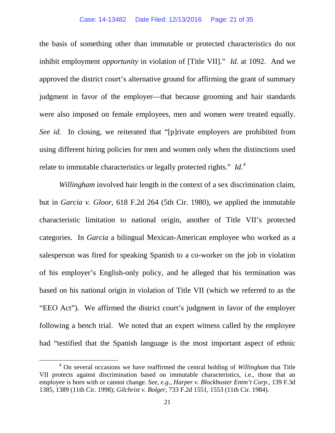#### Case: 14-13482 Date Filed: 12/13/2016 Page: 21 of 35

the basis of something other than immutable or protected characteristics do not inhibit employment *opportunity* in violation of [Title VII]." *Id.* at 1092. And we approved the district court's alternative ground for affirming the grant of summary judgment in favor of the employer—that because grooming and hair standards were also imposed on female employees, men and women were treated equally. *See id.* In closing, we reiterated that "[p]rivate employers are prohibited from using different hiring policies for men and women only when the distinctions used relate to immutable characteristics or legally protected rights." *Id.*[4](#page-20-0)

*Willingham* involved hair length in the context of a sex discrimination claim, but in *Garcia v. Gloor*, 618 F.2d 264 (5th Cir. 1980), we applied the immutable characteristic limitation to national origin, another of Title VII's protected categories. In *Garcia* a bilingual Mexican-American employee who worked as a salesperson was fired for speaking Spanish to a co-worker on the job in violation of his employer's English-only policy, and he alleged that his termination was based on his national origin in violation of Title VII (which we referred to as the "EEO Act"). We affirmed the district court's judgment in favor of the employer following a bench trial. We noted that an expert witness called by the employee had "testified that the Spanish language is the most important aspect of ethnic

<span id="page-20-0"></span> <sup>4</sup> On several occasions we have reaffirmed the central holding of *Willingham* that Title VII protects against discrimination based on immutable characteristics, i.e., those that an employee is born with or cannot change. *See, e.g.*, *Harper v. Blockbuster Entm't Corp.*, 139 F.3d 1385, 1389 (11th Cir. 1998); *Gilchrist v. Bolger*, 733 F.2d 1551, 1553 (11th Cir. 1984).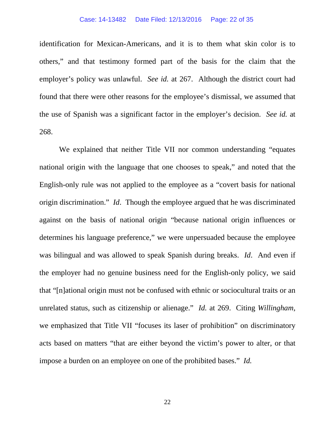#### Case: 14-13482 Date Filed: 12/13/2016 Page: 22 of 35

identification for Mexican-Americans, and it is to them what skin color is to others," and that testimony formed part of the basis for the claim that the employer's policy was unlawful. *See id.* at 267. Although the district court had found that there were other reasons for the employee's dismissal, we assumed that the use of Spanish was a significant factor in the employer's decision. *See id.* at 268.

We explained that neither Title VII nor common understanding "equates national origin with the language that one chooses to speak," and noted that the English-only rule was not applied to the employee as a "covert basis for national origin discrimination." *Id*. Though the employee argued that he was discriminated against on the basis of national origin "because national origin influences or determines his language preference," we were unpersuaded because the employee was bilingual and was allowed to speak Spanish during breaks. *Id*. And even if the employer had no genuine business need for the English-only policy, we said that "[n]ational origin must not be confused with ethnic or sociocultural traits or an unrelated status, such as citizenship or alienage." *Id.* at 269. Citing *Willingham*, we emphasized that Title VII "focuses its laser of prohibition" on discriminatory acts based on matters "that are either beyond the victim's power to alter, or that impose a burden on an employee on one of the prohibited bases." *Id.*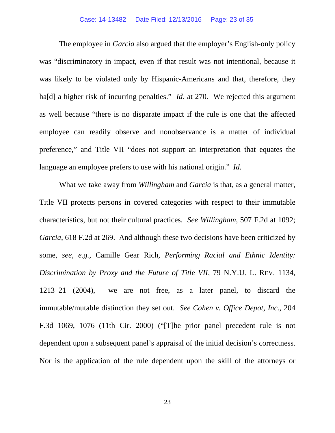#### Case: 14-13482 Date Filed: 12/13/2016 Page: 23 of 35

The employee in *Garcia* also argued that the employer's English-only policy was "discriminatory in impact, even if that result was not intentional, because it was likely to be violated only by Hispanic-Americans and that, therefore, they ha<sup>[d]</sup> a higher risk of incurring penalties." *Id.* at 270. We rejected this argument as well because "there is no disparate impact if the rule is one that the affected employee can readily observe and nonobservance is a matter of individual preference," and Title VII "does not support an interpretation that equates the language an employee prefers to use with his national origin." *Id.* 

What we take away from *Willingham* and *Garcia* is that, as a general matter, Title VII protects persons in covered categories with respect to their immutable characteristics, but not their cultural practices. *See Willingham*, 507 F.2d at 1092; *Garcia*, 618 F.2d at 269. And although these two decisions have been criticized by some, *see, e.g.*, Camille Gear Rich, *Performing Racial and Ethnic Identity: Discrimination by Proxy and the Future of Title VII*, 79 N.Y.U. L. REV. 1134, 1213–21 (2004), we are not free, as a later panel, to discard the immutable/mutable distinction they set out. *See Cohen v. Office Depot, Inc.*, 204 F.3d 1069, 1076 (11th Cir. 2000) ("[T]he prior panel precedent rule is not dependent upon a subsequent panel's appraisal of the initial decision's correctness. Nor is the application of the rule dependent upon the skill of the attorneys or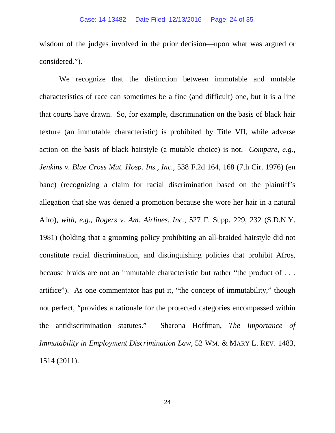wisdom of the judges involved in the prior decision—upon what was argued or considered.").

We recognize that the distinction between immutable and mutable characteristics of race can sometimes be a fine (and difficult) one, but it is a line that courts have drawn. So, for example, discrimination on the basis of black hair texture (an immutable characteristic) is prohibited by Title VII, while adverse action on the basis of black hairstyle (a mutable choice) is not. *Compare, e.g.*, *Jenkins v. Blue Cross Mut. Hosp. Ins., Inc.*, 538 F.2d 164, 168 (7th Cir. 1976) (en banc) (recognizing a claim for racial discrimination based on the plaintiff's allegation that she was denied a promotion because she wore her hair in a natural Afro), *with, e.g.*, *Rogers v. Am. Airlines, Inc.*, 527 F. Supp. 229, 232 (S.D.N.Y. 1981) (holding that a grooming policy prohibiting an all-braided hairstyle did not constitute racial discrimination, and distinguishing policies that prohibit Afros, because braids are not an immutable characteristic but rather "the product of . . . artifice"). As one commentator has put it, "the concept of immutability," though not perfect, "provides a rationale for the protected categories encompassed within the antidiscrimination statutes." Sharona Hoffman, *The Importance of Immutability in Employment Discrimination Law*, 52 WM. & MARY L. REV. 1483, 1514 (2011).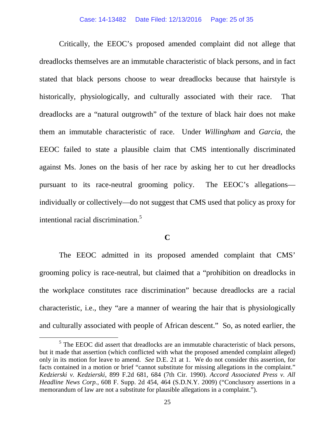Critically, the EEOC's proposed amended complaint did not allege that dreadlocks themselves are an immutable characteristic of black persons, and in fact stated that black persons choose to wear dreadlocks because that hairstyle is historically, physiologically, and culturally associated with their race. That dreadlocks are a "natural outgrowth" of the texture of black hair does not make them an immutable characteristic of race. Under *Willingham* and *Garcia*, the EEOC failed to state a plausible claim that CMS intentionally discriminated against Ms. Jones on the basis of her race by asking her to cut her dreadlocks pursuant to its race-neutral grooming policy. The EEOC's allegations individually or collectively—do not suggest that CMS used that policy as proxy for intentional racial discrimination.<sup>[5](#page-24-0)</sup>

# **C**

The EEOC admitted in its proposed amended complaint that CMS' grooming policy is race-neutral, but claimed that a "prohibition on dreadlocks in the workplace constitutes race discrimination" because dreadlocks are a racial characteristic, i.e., they "are a manner of wearing the hair that is physiologically and culturally associated with people of African descent." So, as noted earlier, the

<span id="page-24-0"></span><sup>&</sup>lt;sup>5</sup> The EEOC did assert that dreadlocks are an immutable characteristic of black persons, but it made that assertion (which conflicted with what the proposed amended complaint alleged) only in its motion for leave to amend. *See* D.E. 21 at 1. We do not consider this assertion, for facts contained in a motion or brief "cannot substitute for missing allegations in the complaint." *Kedzierski v. Kedzierski*, 899 F.2d 681, 684 (7th Cir. 1990). *Accord Associated Press v. All Headline News Corp.*, 608 F. Supp. 2d 454, 464 (S.D.N.Y. 2009) ("Conclusory assertions in a memorandum of law are not a substitute for plausible allegations in a complaint.").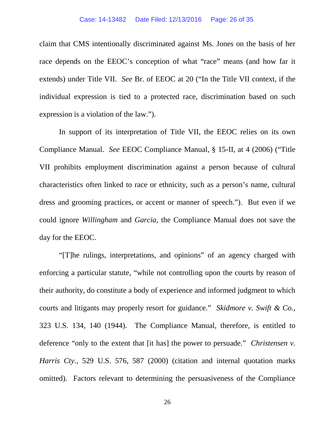claim that CMS intentionally discriminated against Ms. Jones on the basis of her race depends on the EEOC's conception of what "race" means (and how far it extends) under Title VII. *See* Br. of EEOC at 20 ("In the Title VII context, if the individual expression is tied to a protected race, discrimination based on such expression is a violation of the law.").

In support of its interpretation of Title VII, the EEOC relies on its own Compliance Manual. *See* EEOC Compliance Manual, § 15-II, at 4 (2006) ("Title VII prohibits employment discrimination against a person because of cultural characteristics often linked to race or ethnicity, such as a person's name, cultural dress and grooming practices, or accent or manner of speech."). But even if we could ignore *Willingham* and *Garcia*, the Compliance Manual does not save the day for the EEOC.

"[T]he rulings, interpretations, and opinions" of an agency charged with enforcing a particular statute, "while not controlling upon the courts by reason of their authority, do constitute a body of experience and informed judgment to which courts and litigants may properly resort for guidance." *Skidmore v. Swift & Co.*, 323 U.S. 134, 140 (1944). The Compliance Manual, therefore, is entitled to deference "only to the extent that [it has] the power to persuade." *Christensen v. Harris Cty.*, 529 U.S. 576, 587 (2000) (citation and internal quotation marks omitted). Factors relevant to determining the persuasiveness of the Compliance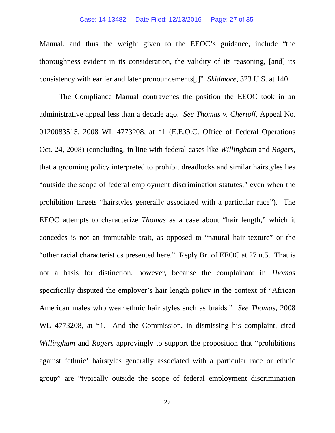### Case: 14-13482 Date Filed: 12/13/2016 Page: 27 of 35

Manual, and thus the weight given to the EEOC's guidance, include "the thoroughness evident in its consideration, the validity of its reasoning, [and] its consistency with earlier and later pronouncements[.]" *Skidmore*, 323 U.S. at 140.

The Compliance Manual contravenes the position the EEOC took in an administrative appeal less than a decade ago. *See Thomas v. Chertoff*, Appeal No. 0120083515, 2008 WL 4773208, at \*1 (E.E.O.C. Office of Federal Operations Oct. 24, 2008) (concluding, in line with federal cases like *Willingham* and *Rogers*, that a grooming policy interpreted to prohibit dreadlocks and similar hairstyles lies "outside the scope of federal employment discrimination statutes," even when the prohibition targets "hairstyles generally associated with a particular race"). The EEOC attempts to characterize *Thomas* as a case about "hair length," which it concedes is not an immutable trait, as opposed to "natural hair texture" or the "other racial characteristics presented here." Reply Br. of EEOC at 27 n.5. That is not a basis for distinction, however, because the complainant in *Thomas* specifically disputed the employer's hair length policy in the context of "African American males who wear ethnic hair styles such as braids." *See Thomas*, 2008 WL 4773208, at \*1. And the Commission, in dismissing his complaint, cited *Willingham* and *Rogers* approvingly to support the proposition that "prohibitions against 'ethnic' hairstyles generally associated with a particular race or ethnic group" are "typically outside the scope of federal employment discrimination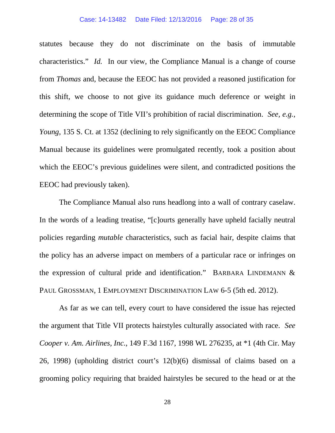### Case: 14-13482 Date Filed: 12/13/2016 Page: 28 of 35

statutes because they do not discriminate on the basis of immutable characteristics." *Id.* In our view, the Compliance Manual is a change of course from *Thomas* and, because the EEOC has not provided a reasoned justification for this shift, we choose to not give its guidance much deference or weight in determining the scope of Title VII's prohibition of racial discrimination. *See, e.g.*, *Young*, 135 S. Ct. at 1352 (declining to rely significantly on the EEOC Compliance Manual because its guidelines were promulgated recently, took a position about which the EEOC's previous guidelines were silent, and contradicted positions the EEOC had previously taken).

The Compliance Manual also runs headlong into a wall of contrary caselaw. In the words of a leading treatise, "[c]ourts generally have upheld facially neutral policies regarding *mutable* characteristics, such as facial hair, despite claims that the policy has an adverse impact on members of a particular race or infringes on the expression of cultural pride and identification." BARBARA LINDEMANN & PAUL GROSSMAN, 1 EMPLOYMENT DISCRIMINATION LAW 6-5 (5th ed. 2012).

As far as we can tell, every court to have considered the issue has rejected the argument that Title VII protects hairstyles culturally associated with race. *See Cooper v. Am. Airlines, Inc.*, 149 F.3d 1167, 1998 WL 276235, at \*1 (4th Cir. May 26, 1998) (upholding district court's 12(b)(6) dismissal of claims based on a grooming policy requiring that braided hairstyles be secured to the head or at the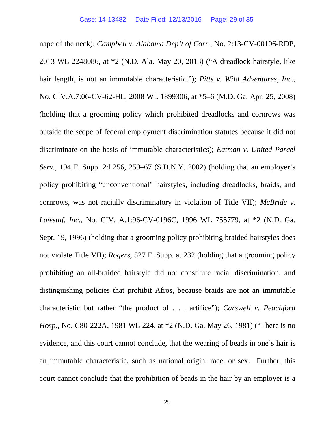nape of the neck); *Campbell v. Alabama Dep't of Corr.*, No. 2:13-CV-00106-RDP, 2013 WL 2248086, at \*2 (N.D. Ala. May 20, 2013) ("A dreadlock hairstyle, like hair length, is not an immutable characteristic."); *Pitts v. Wild Adventures, Inc.*, No. CIV.A.7:06-CV-62-HL, 2008 WL 1899306, at \*5–6 (M.D. Ga. Apr. 25, 2008) (holding that a grooming policy which prohibited dreadlocks and cornrows was outside the scope of federal employment discrimination statutes because it did not discriminate on the basis of immutable characteristics); *Eatman v. United Parcel Serv.*, 194 F. Supp. 2d 256, 259–67 (S.D.N.Y. 2002) (holding that an employer's policy prohibiting "unconventional" hairstyles, including dreadlocks, braids, and cornrows, was not racially discriminatory in violation of Title VII); *McBride v. Lawstaf, Inc.*, No. CIV. A.1:96-CV-0196C, 1996 WL 755779, at \*2 (N.D. Ga. Sept. 19, 1996) (holding that a grooming policy prohibiting braided hairstyles does not violate Title VII); *Rogers,* 527 F. Supp. at 232 (holding that a grooming policy prohibiting an all-braided hairstyle did not constitute racial discrimination, and distinguishing policies that prohibit Afros, because braids are not an immutable characteristic but rather "the product of . . . artifice"); *Carswell v. Peachford Hosp.*, No. C80-222A, 1981 WL 224, at \*2 (N.D. Ga. May 26, 1981) ("There is no evidence, and this court cannot conclude, that the wearing of beads in one's hair is an immutable characteristic, such as national origin, race, or sex. Further, this court cannot conclude that the prohibition of beads in the hair by an employer is a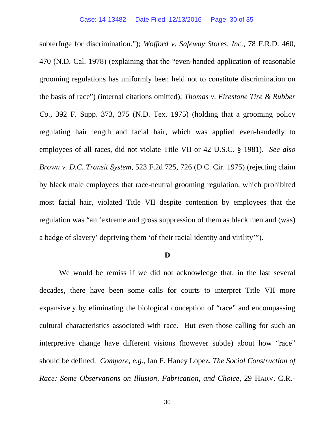subterfuge for discrimination."); *Wofford v. Safeway Stores, Inc.*, 78 F.R.D. 460, 470 (N.D. Cal. 1978) (explaining that the "even-handed application of reasonable grooming regulations has uniformly been held not to constitute discrimination on the basis of race") (internal citations omitted); *Thomas v. Firestone Tire & Rubber Co.*, 392 F. Supp. 373, 375 (N.D. Tex. 1975) (holding that a grooming policy regulating hair length and facial hair, which was applied even-handedly to employees of all races, did not violate Title VII or 42 U.S.C. § 1981). *See also Brown v. D.C. Transit System*, 523 F.2d 725, 726 (D.C. Cir. 1975) (rejecting claim by black male employees that race-neutral grooming regulation, which prohibited most facial hair, violated Title VII despite contention by employees that the regulation was "an 'extreme and gross suppression of them as black men and (was) a badge of slavery' depriving them 'of their racial identity and virility'").

## **D**

We would be remiss if we did not acknowledge that, in the last several decades, there have been some calls for courts to interpret Title VII more expansively by eliminating the biological conception of "race" and encompassing cultural characteristics associated with race. But even those calling for such an interpretive change have different visions (however subtle) about how "race" should be defined. *Compare, e.g.*, Ian F. Haney Lopez, *The Social Construction of Race: Some Observations on Illusion, Fabrication, and Choice*, 29 HARV. C.R.-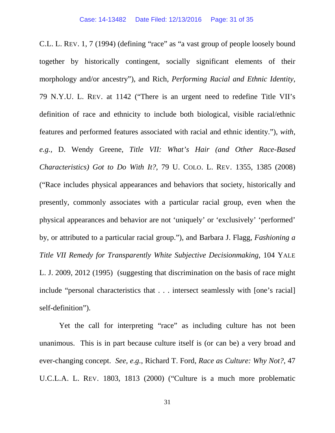C.L. L. REV. 1, 7 (1994) (defining "race" as "a vast group of people loosely bound together by historically contingent, socially significant elements of their morphology and/or ancestry"), and Rich, *Performing Racial and Ethnic Identity*, 79 N.Y.U. L. REV. at 1142 ("There is an urgent need to redefine Title VII's definition of race and ethnicity to include both biological, visible racial/ethnic features and performed features associated with racial and ethnic identity."), *with, e.g.,* D. Wendy Greene, *Title VII: What's Hair (and Other Race-Based Characteristics) Got to Do With It?*, 79 U. COLO. L. REV. 1355, 1385 (2008) ("Race includes physical appearances and behaviors that society, historically and presently, commonly associates with a particular racial group, even when the physical appearances and behavior are not 'uniquely' or 'exclusively' 'performed' by, or attributed to a particular racial group."), and Barbara J. Flagg, *Fashioning a Title VII Remedy for Transparently White Subjective Decisionmaking*, 104 YALE L. J. 2009, 2012 (1995) (suggesting that discrimination on the basis of race might include "personal characteristics that . . . intersect seamlessly with [one's racial] self-definition").

Yet the call for interpreting "race" as including culture has not been unanimous. This is in part because culture itself is (or can be) a very broad and ever-changing concept. *See, e.g.*, Richard T. Ford, *Race as Culture: Why Not?*, 47 U.C.L.A. L. REV. 1803, 1813 (2000) ("Culture is a much more problematic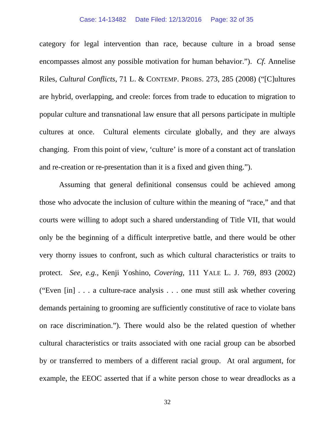#### Case: 14-13482 Date Filed: 12/13/2016 Page: 32 of 35

category for legal intervention than race, because culture in a broad sense encompasses almost any possible motivation for human behavior."). *Cf.* Annelise Riles, *Cultural Conflicts*, 71 L. & CONTEMP. PROBS. 273, 285 (2008) ("[C]ultures are hybrid, overlapping, and creole: forces from trade to education to migration to popular culture and transnational law ensure that all persons participate in multiple cultures at once. Cultural elements circulate globally, and they are always changing. From this point of view, 'culture' is more of a constant act of translation and re-creation or re-presentation than it is a fixed and given thing.").

Assuming that general definitional consensus could be achieved among those who advocate the inclusion of culture within the meaning of "race," and that courts were willing to adopt such a shared understanding of Title VII, that would only be the beginning of a difficult interpretive battle, and there would be other very thorny issues to confront, such as which cultural characteristics or traits to protect. *See, e.g.*, Kenji Yoshino, *Covering*, 111 YALE L. J. 769, 893 (2002) ("Even [in] . . . a culture-race analysis . . . one must still ask whether covering demands pertaining to grooming are sufficiently constitutive of race to violate bans on race discrimination."). There would also be the related question of whether cultural characteristics or traits associated with one racial group can be absorbed by or transferred to members of a different racial group. At oral argument, for example, the EEOC asserted that if a white person chose to wear dreadlocks as a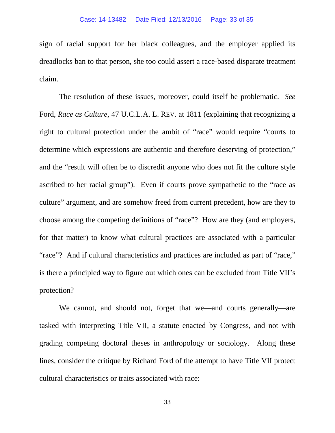sign of racial support for her black colleagues, and the employer applied its dreadlocks ban to that person, she too could assert a race-based disparate treatment claim.

The resolution of these issues, moreover, could itself be problematic. *See*  Ford, *Race as Culture*, 47 U.C.L.A. L. REV. at 1811 (explaining that recognizing a right to cultural protection under the ambit of "race" would require "courts to determine which expressions are authentic and therefore deserving of protection," and the "result will often be to discredit anyone who does not fit the culture style ascribed to her racial group"). Even if courts prove sympathetic to the "race as culture" argument, and are somehow freed from current precedent, how are they to choose among the competing definitions of "race"? How are they (and employers, for that matter) to know what cultural practices are associated with a particular "race"? And if cultural characteristics and practices are included as part of "race," is there a principled way to figure out which ones can be excluded from Title VII's protection?

We cannot, and should not, forget that we—and courts generally—are tasked with interpreting Title VII, a statute enacted by Congress, and not with grading competing doctoral theses in anthropology or sociology. Along these lines, consider the critique by Richard Ford of the attempt to have Title VII protect cultural characteristics or traits associated with race:

33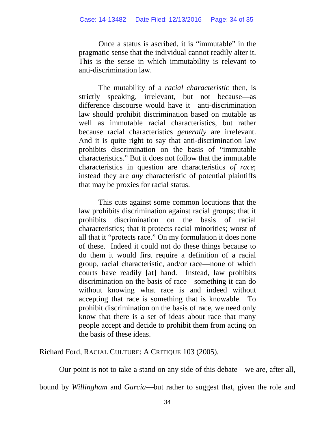Once a status is ascribed, it is "immutable" in the pragmatic sense that the individual cannot readily alter it. This is the sense in which immutability is relevant to anti-discrimination law.

The mutability of a *racial characteristic* then, is strictly speaking, irrelevant, but not because—as difference discourse would have it—anti-discrimination law should prohibit discrimination based on mutable as well as immutable racial characteristics, but rather because racial characteristics *generally* are irrelevant. And it is quite right to say that anti-discrimination law prohibits discrimination on the basis of "immutable characteristics." But it does not follow that the immutable characteristics in question are characteristics *of race*; instead they are *any* characteristic of potential plaintiffs that may be proxies for racial status.

This cuts against some common locutions that the law prohibits discrimination against racial groups; that it prohibits discrimination on the basis of racial characteristics; that it protects racial minorities; worst of all that it "protects race." On my formulation it does none of these. Indeed it could not do these things because to do them it would first require a definition of a racial group, racial characteristic, and/or race—none of which courts have readily [at] hand. Instead, law prohibits discrimination on the basis of race—something it can do without knowing what race is and indeed without accepting that race is something that is knowable. To prohibit discrimination on the basis of race, we need only know that there is a set of ideas about race that many people accept and decide to prohibit them from acting on the basis of these ideas.

Richard Ford, RACIAL CULTURE: A CRITIQUE 103 (2005).

Our point is not to take a stand on any side of this debate—we are, after all,

bound by *Willingham* and *Garcia*—but rather to suggest that, given the role and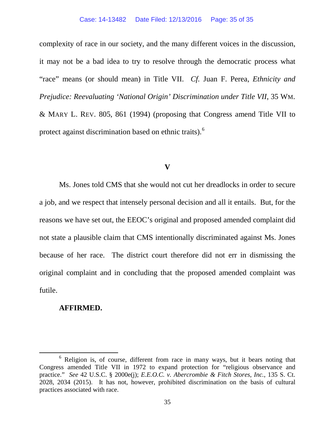complexity of race in our society, and the many different voices in the discussion, it may not be a bad idea to try to resolve through the democratic process what "race" means (or should mean) in Title VII. *Cf.* Juan F. Perea, *Ethnicity and Prejudice: Reevaluating 'National Origin' Discrimination under Title VII*, 35 WM. & MARY L. REV. 805, 861 (1994) (proposing that Congress amend Title VII to protect against discrimination based on ethnic traits).<sup>[6](#page-34-0)</sup>

## **V**

Ms. Jones told CMS that she would not cut her dreadlocks in order to secure a job, and we respect that intensely personal decision and all it entails. But, for the reasons we have set out, the EEOC's original and proposed amended complaint did not state a plausible claim that CMS intentionally discriminated against Ms. Jones because of her race. The district court therefore did not err in dismissing the original complaint and in concluding that the proposed amended complaint was futile.

# **AFFIRMED.**

<span id="page-34-0"></span> $6$  Religion is, of course, different from race in many ways, but it bears noting that Congress amended Title VII in 1972 to expand protection for "religious observance and practice." *See* 42 U.S.C. § 2000e(j); *E.E.O.C. v. Abercrombie & Fitch Stores, Inc.*, 135 S. Ct. 2028, 2034 (2015). It has not, however, prohibited discrimination on the basis of cultural practices associated with race.